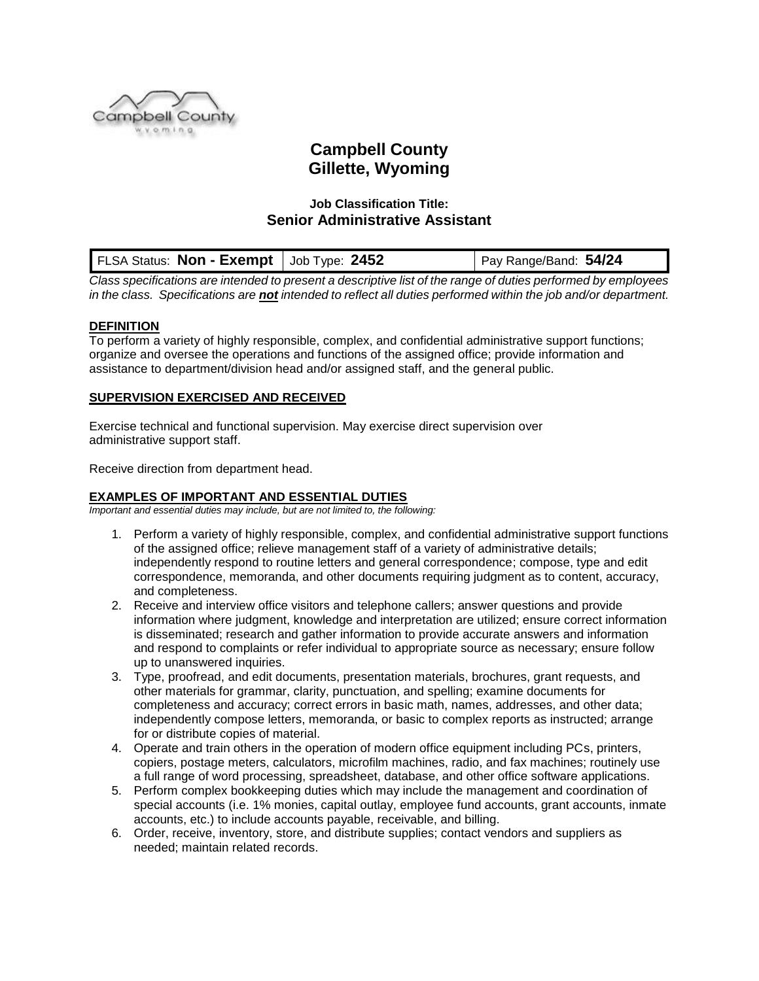

# **Campbell County Gillette, Wyoming**

# **Job Classification Title: Senior Administrative Assistant**

|  | FLSA Status: Non - Exempt   Job Type: 2452 |  | Pay Range/Band: $54/24$ |
|--|--------------------------------------------|--|-------------------------|
|--|--------------------------------------------|--|-------------------------|

*Class specifications are intended to present a descriptive list of the range of duties performed by employees in the class. Specifications are not intended to reflect all duties performed within the job and/or department.*

## **DEFINITION**

To perform a variety of highly responsible, complex, and confidential administrative support functions; organize and oversee the operations and functions of the assigned office; provide information and assistance to department/division head and/or assigned staff, and the general public.

## **SUPERVISION EXERCISED AND RECEIVED**

Exercise technical and functional supervision. May exercise direct supervision over administrative support staff.

Receive direction from department head.

# **EXAMPLES OF IMPORTANT AND ESSENTIAL DUTIES**

*Important and essential duties may include, but are not limited to, the following:*

- 1. Perform a variety of highly responsible, complex, and confidential administrative support functions of the assigned office; relieve management staff of a variety of administrative details; independently respond to routine letters and general correspondence; compose, type and edit correspondence, memoranda, and other documents requiring judgment as to content, accuracy, and completeness.
- 2. Receive and interview office visitors and telephone callers; answer questions and provide information where judgment, knowledge and interpretation are utilized; ensure correct information is disseminated; research and gather information to provide accurate answers and information and respond to complaints or refer individual to appropriate source as necessary; ensure follow up to unanswered inquiries.
- 3. Type, proofread, and edit documents, presentation materials, brochures, grant requests, and other materials for grammar, clarity, punctuation, and spelling; examine documents for completeness and accuracy; correct errors in basic math, names, addresses, and other data; independently compose letters, memoranda, or basic to complex reports as instructed; arrange for or distribute copies of material.
- 4. Operate and train others in the operation of modern office equipment including PCs, printers, copiers, postage meters, calculators, microfilm machines, radio, and fax machines; routinely use a full range of word processing, spreadsheet, database, and other office software applications.
- 5. Perform complex bookkeeping duties which may include the management and coordination of special accounts (i.e. 1% monies, capital outlay, employee fund accounts, grant accounts, inmate accounts, etc.) to include accounts payable, receivable, and billing.
- 6. Order, receive, inventory, store, and distribute supplies; contact vendors and suppliers as needed; maintain related records.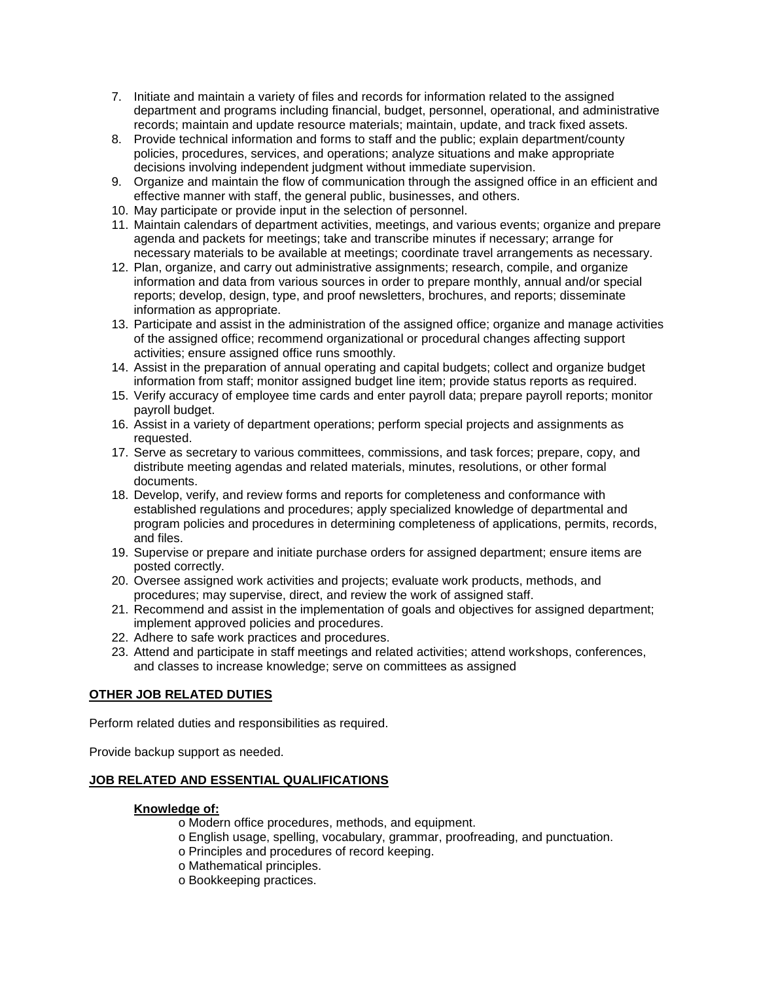- 7. Initiate and maintain a variety of files and records for information related to the assigned department and programs including financial, budget, personnel, operational, and administrative records; maintain and update resource materials; maintain, update, and track fixed assets.
- 8. Provide technical information and forms to staff and the public; explain department/county policies, procedures, services, and operations; analyze situations and make appropriate decisions involving independent judgment without immediate supervision.
- 9. Organize and maintain the flow of communication through the assigned office in an efficient and effective manner with staff, the general public, businesses, and others.
- 10. May participate or provide input in the selection of personnel.
- 11. Maintain calendars of department activities, meetings, and various events; organize and prepare agenda and packets for meetings; take and transcribe minutes if necessary; arrange for necessary materials to be available at meetings; coordinate travel arrangements as necessary.
- 12. Plan, organize, and carry out administrative assignments; research, compile, and organize information and data from various sources in order to prepare monthly, annual and/or special reports; develop, design, type, and proof newsletters, brochures, and reports; disseminate information as appropriate.
- 13. Participate and assist in the administration of the assigned office; organize and manage activities of the assigned office; recommend organizational or procedural changes affecting support activities; ensure assigned office runs smoothly.
- 14. Assist in the preparation of annual operating and capital budgets; collect and organize budget information from staff; monitor assigned budget line item; provide status reports as required.
- 15. Verify accuracy of employee time cards and enter payroll data; prepare payroll reports; monitor payroll budget.
- 16. Assist in a variety of department operations; perform special projects and assignments as requested.
- 17. Serve as secretary to various committees, commissions, and task forces; prepare, copy, and distribute meeting agendas and related materials, minutes, resolutions, or other formal documents.
- 18. Develop, verify, and review forms and reports for completeness and conformance with established regulations and procedures; apply specialized knowledge of departmental and program policies and procedures in determining completeness of applications, permits, records, and files.
- 19. Supervise or prepare and initiate purchase orders for assigned department; ensure items are posted correctly.
- 20. Oversee assigned work activities and projects; evaluate work products, methods, and procedures; may supervise, direct, and review the work of assigned staff.
- 21. Recommend and assist in the implementation of goals and objectives for assigned department; implement approved policies and procedures.
- 22. Adhere to safe work practices and procedures.
- 23. Attend and participate in staff meetings and related activities; attend workshops, conferences, and classes to increase knowledge; serve on committees as assigned

# **OTHER JOB RELATED DUTIES**

Perform related duties and responsibilities as required.

Provide backup support as needed.

# **JOB RELATED AND ESSENTIAL QUALIFICATIONS**

#### **Knowledge of:**

- o Modern office procedures, methods, and equipment.
- o English usage, spelling, vocabulary, grammar, proofreading, and punctuation.
- o Principles and procedures of record keeping.
- o Mathematical principles.
- o Bookkeeping practices.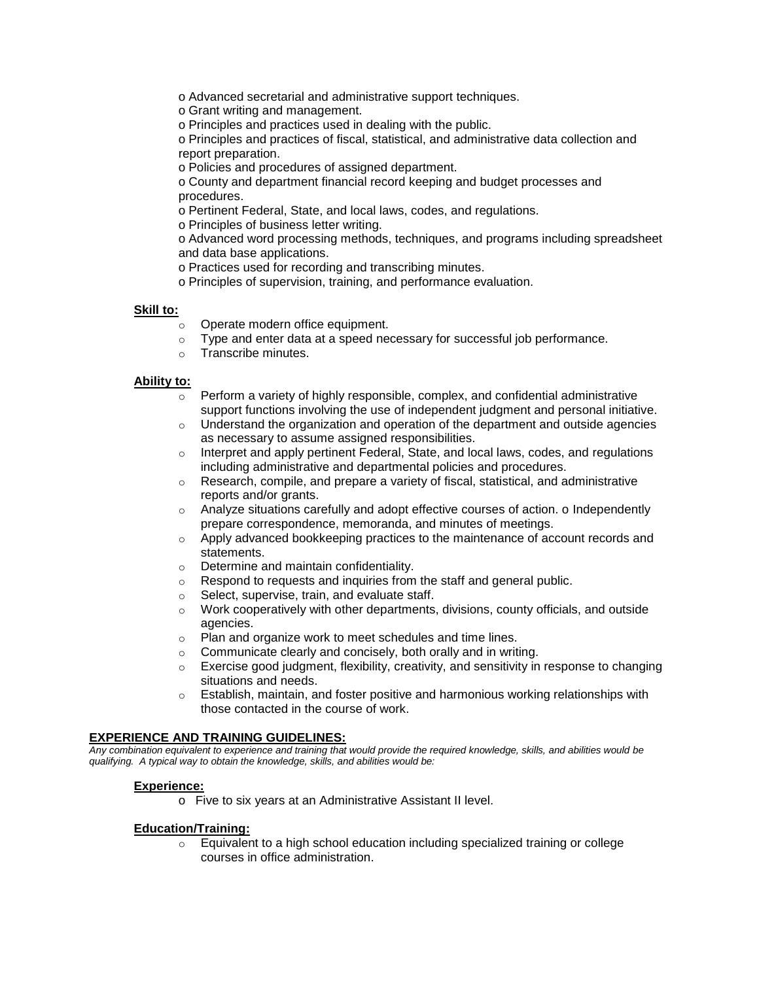o Advanced secretarial and administrative support techniques.

o Grant writing and management.

o Principles and practices used in dealing with the public.

o Principles and practices of fiscal, statistical, and administrative data collection and report preparation.

o Policies and procedures of assigned department.

o County and department financial record keeping and budget processes and procedures.

o Pertinent Federal, State, and local laws, codes, and regulations.

o Principles of business letter writing.

o Advanced word processing methods, techniques, and programs including spreadsheet and data base applications.

o Practices used for recording and transcribing minutes.

o Principles of supervision, training, and performance evaluation.

## **Skill to:**

- o Operate modern office equipment.
- $\circ$  Type and enter data at a speed necessary for successful job performance.
- o Transcribe minutes.

## **Ability to:**

- $\circ$  Perform a variety of highly responsible, complex, and confidential administrative support functions involving the use of independent judgment and personal initiative.
- $\circ$  Understand the organization and operation of the department and outside agencies as necessary to assume assigned responsibilities.
- $\circ$  Interpret and apply pertinent Federal, State, and local laws, codes, and regulations including administrative and departmental policies and procedures.
- $\circ$  Research, compile, and prepare a variety of fiscal, statistical, and administrative reports and/or grants.
- $\circ$  Analyze situations carefully and adopt effective courses of action. o Independently prepare correspondence, memoranda, and minutes of meetings.
- o Apply advanced bookkeeping practices to the maintenance of account records and statements.
- o Determine and maintain confidentiality.
- o Respond to requests and inquiries from the staff and general public.
- o Select, supervise, train, and evaluate staff.
- $\circ$  Work cooperatively with other departments, divisions, county officials, and outside agencies.
- o Plan and organize work to meet schedules and time lines.
- o Communicate clearly and concisely, both orally and in writing.
- $\circ$  Exercise good judgment, flexibility, creativity, and sensitivity in response to changing situations and needs.
- $\circ$  Establish, maintain, and foster positive and harmonious working relationships with those contacted in the course of work.

#### **EXPERIENCE AND TRAINING GUIDELINES:**

*Any combination equivalent to experience and training that would provide the required knowledge, skills, and abilities would be qualifying. A typical way to obtain the knowledge, skills, and abilities would be:*

# **Experience:**

o Five to six years at an Administrative Assistant II level.

#### **Education/Training:**

 $\circ$  Equivalent to a high school education including specialized training or college courses in office administration.